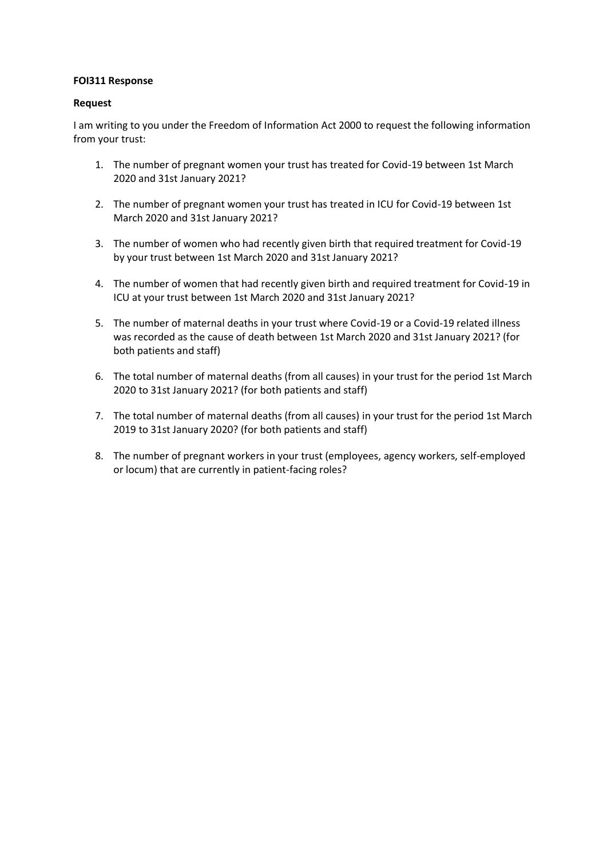## **FOI311 Response**

## **Request**

I am writing to you under the Freedom of Information Act 2000 to request the following information from your trust:

- 1. The number of pregnant women your trust has treated for Covid-19 between 1st March 2020 and 31st January 2021?
- 2. The number of pregnant women your trust has treated in ICU for Covid-19 between 1st March 2020 and 31st January 2021?
- 3. The number of women who had recently given birth that required treatment for Covid-19 by your trust between 1st March 2020 and 31st January 2021?
- 4. The number of women that had recently given birth and required treatment for Covid-19 in ICU at your trust between 1st March 2020 and 31st January 2021?
- 5. The number of maternal deaths in your trust where Covid-19 or a Covid-19 related illness was recorded as the cause of death between 1st March 2020 and 31st January 2021? (for both patients and staff)
- 6. The total number of maternal deaths (from all causes) in your trust for the period 1st March 2020 to 31st January 2021? (for both patients and staff)
- 7. The total number of maternal deaths (from all causes) in your trust for the period 1st March 2019 to 31st January 2020? (for both patients and staff)
- 8. The number of pregnant workers in your trust (employees, agency workers, self-employed or locum) that are currently in patient-facing roles?